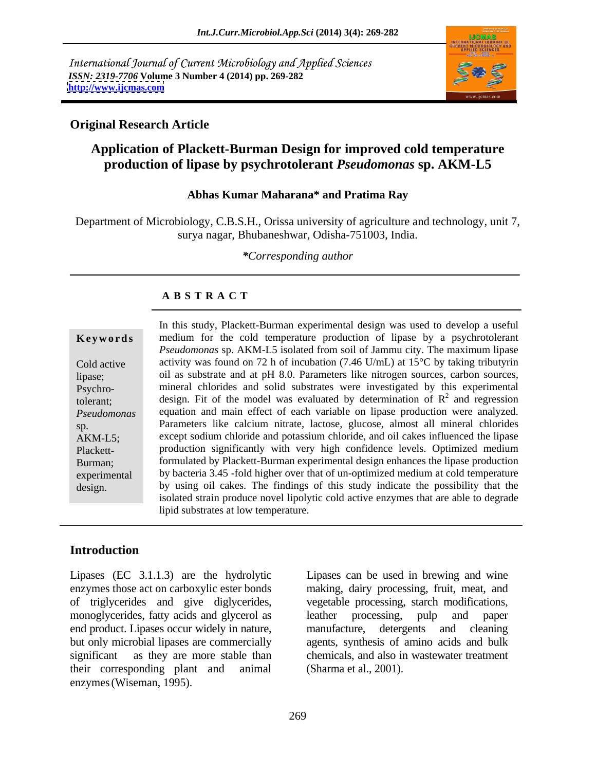International Journal of Current Microbiology and Applied Sciences *ISSN: 2319-7706* **Volume 3 Number 4 (2014) pp. 269-282 <http://www.ijcmas.com>**



### **Original Research Article**

# **Application of Plackett-Burman Design for improved cold temperature production of lipase by psychrotolerant** *Pseudomonas* **sp. AKM-L5**

#### **Abhas Kumar Maharana\* and Pratima Ray**

Department of Microbiology, C.B.S.H., Orissa university of agriculture and technology, unit 7, surya nagar, Bhubaneshwar, Odisha-751003, India.

*\*Corresponding author*

#### **A B S T R A C T**

Psychro-

**Keywords** medium for the cold temperature production of lipase by a psychrotolerant Cold active activity was found on 72 h of incubation (7.46 U/mL) at 15<sup>o</sup>C by taking tributyrin lipase; oil as substrate and at pH 8.0. Parameters like nitrogen sources, carbon sources, tolerant; design. Fit of the model was evaluated by determination of  $R^2$  and regression *Pseudomonas*  equation and main effect of each variable on lipase production were analyzed. sp. Parameters like calcium nitrate, lactose, glucose, almost all mineral chlorides AKM-L5; except sodium chloride and potassium chloride, and oil cakes influenced the lipase Plackett- production significantly with very high confidence levels. Optimized medium Burman; formulated by Plackett-Burman experimental design enhances the lipase production experimental by bacteria 3.45 -fold higher over that of un-optimized medium at cold temperature In this study, Plackett-Burman experimental design was used to develop a useful<br>medium for the cold emperature production of lipase by a psychroderant<br>Cold active<br>activity was found on 72 h of incubation (7.46 U/mL) at 15 *Pseudomonas* sp. AKM-L5 isolated from soil of Jammu city. The maximum lipase mineral chlorides and solid substrates were investigated by this experimental  $^2$  and regression and regression by using oil cakes. The findings of this study indicate the possibility that the isolated strain produce novel lipolytic cold active enzymes that are able to degrade lipid substrates at low temperature.

# **Introduction**

Lipases (EC 3.1.1.3) are the hydrolytic enzymes those act on carboxylic ester bonds making, dairy processing, fruit, meat, and of triglycerides and give diglycerides, vegetable processing, starch modifications, monoglycerides, fatty acids and glycerol as leather processing, pulp and paper end product. Lipases occur widely in nature, manufacture, detergents and cleaning but only microbial lipases are commercially agents, synthesis of amino acids and bulk<br>significant as they are more stable than chemicals, and also in wastewater treatment their corresponding plant and animal enzymes(Wiseman, 1995).

Lipases can be used in brewing and wine leather processing, pulp and paper manufacture, detergents and cleaning agents, synthesis of amino acids and bulk chemicals, and also in wastewater treatment (Sharma et al., 2001).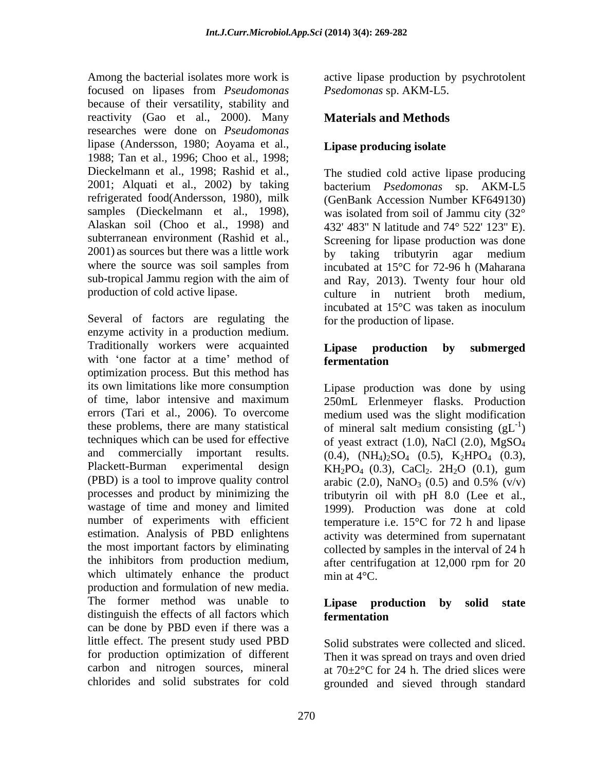Among the bacterial isolates more work is active lipase production by psychrotolent focused on lipases from *Pseudomonas*  because of their versatility, stability and reactivity (Gao et al., 2000). Many researches were done on *Pseudomonas*  lipase (Andersson, 1980; Aoyama et al., 1988; Tan et al., 1996; Choo et al., 1998; Dieckelmann et al., 1998; Rashid et al., The studied cold active lipase producing 2001; Alquati et al., 2002) by taking refrigerated food(Andersson, 1980), milk (GenBank Accession Number KF649130) samples (Dieckelmann et al., 1998), Alaskan soil (Choo et al., 1998) and 432' 483'' N latitude and 74° 522' 123'' E). subterranean environment (Rashid et al., Screening for lipase production was done  $2001$ ) as sources but there was a little work by taking tributyrin agar medium where the source was soil samples from incubated at 15°C for 72-96 h (Maharana sub-tropical Jammu region with the aim of production of cold active lipase.  $\qquad \qquad \text{ culture} \quad \text{in} \quad \text{nutrient} \quad \text{broth} \quad \text{medium.}$ 

Several of factors are regulating the enzyme activity in a production medium. Traditionally workers were acquainted **Lipase production by submerged** with 'one factor at a time' method of **fermentation** optimization process. But this method has its own limitations like more consumption of time, labor intensive and maximum 250mL Erlenmeyer flasks. Production errors (Tari et al., 2006). To overcome medium used was the slight modification these problems, there are many statistical of mineral salt medium consisting  $(gL^{-1})$ techniques which can be used for effective of yeast extract  $(1.0)$ , NaCl  $(2.0)$ , MgSO<sub>4</sub> and commercially important results.  $(0.4)$ ,  $(NH_4)_2SO_4$   $(0.5)$ ,  $K_2HPO_4$   $(0.3)$ , Plackett-Burman experimental design  $KH_2PO_4$  (0.3), CaCl<sub>2</sub>. 2H<sub>2</sub>O (0.1), gum (PBD) is a tool to improve quality control arabic  $(2.0)$ , NaNO<sub>3</sub>  $(0.5)$  and  $0.5\%$  (v/v) processes and product by minimizing the tributyrin oil with pH 8.0 (Lee et al., wastage of time and money and limited 1999). Production was done at cold number of experiments with efficient estimation. Analysis of PBD enlightens activity was determined from supernatant the most important factors by eliminating collected by samples in the interval of 24 h the inhibitors from production medium, after centrifugation at 12,000 rpm for 20 which ultimately enhance the product min at  $4^{\circ}$ C. production and formulation of new media. The former method was unable to **Lipase production by solid state** distinguish the effects of all factors which **fermentation** can be done by PBD even if there was a little effect. The present study used PBD for production optimization of different carbon and nitrogen sources, mineral carbon and nitrogen sources, mineral at  $70\pm2\degree$ C for 24 h. The dried slices were

*Psedomonas* sp. AKM-L5.

# **Materials and Methods**

## **Lipase producing isolate**

bacterium *Psedomonas* sp. AKM-L5 was isolated from soil of Jammu city (32° by taking tributyrin agar medium and Ray, 2013). Twenty four hour old culture in nutrient broth incubated at 15°C was taken as inoculum for the production of lipase.

#### **Lipase production by submerged fermentation**

Lipase production was done by using  $-1$  $)$  $KH_2PO_4$  (0.3), CaCl<sub>2</sub>. 2H<sub>2</sub>O (0.1), gum arabic  $(2.0)$ , NaNO<sub>3</sub>  $(0.5)$  and  $0.5\%$   $(v/v)$ temperature i.e. 15°C for 72 h and lipase min at  $4^{\circ}$ C.

### **Lipase production by fermentation**

chlorides and solid substrates for cold grounded and sieved through standardSolid substrates were collected and sliced. Then it was spread on trays and oven dried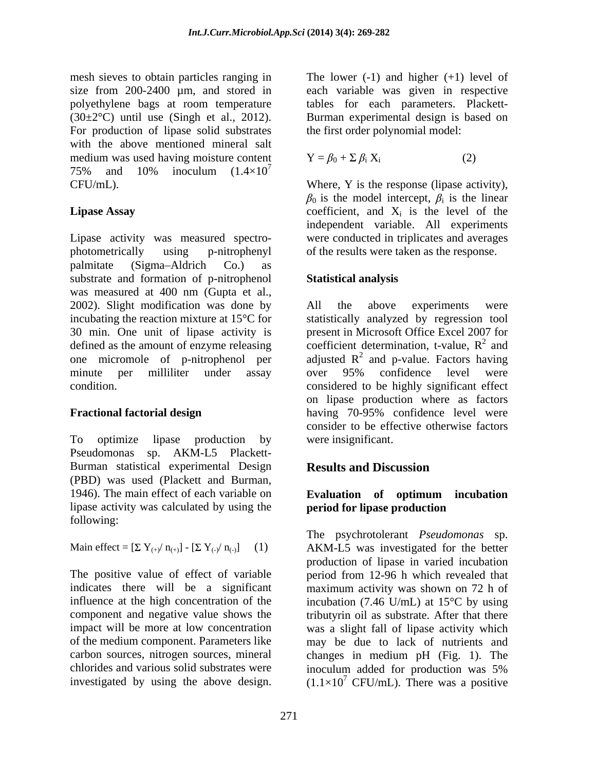mesh sieves to obtain particles ranging in The lower  $(-1)$  and higher  $(+1)$  level of size from 200-2400  $\mu$ m, and stored in polyethylene bags at room temperature  $(30\pm2\degree C)$  until use (Singh et al., 2012). Burman experimental design is based on For production of lipase solid substrates with the above mentioned mineral salt medium was used having moisture content 75% and 10% inoculum  $(1.4\times10^{7})$ 

Lipase activity was measured spectro- were conducted in triplicates and averages photometrically using p-nitrophenyl of the results were taken as the response. palmitate (Sigma-Aldrich Co.) as substrate and formation of p-nitrophenol **Statistical analysis** was measured at 400 nm (Gupta et al., 2002). Slight modification was done by All the above experiments were incubating the reaction mixture at 15°C for statistically analyzed by regression tool 30 min. One unit of lipase activity is present in Microsoft Office Excel 2007 for defined as the amount of enzyme releasing coefficient determination, t-value,  $R^2$  and one micromole of p-nitrophenol per adjusted  $R^2$  and p-value. Factors having minute per milliliter under assay over 95% confidence level were condition. considered to be highly significant effect mean since the obser measure of the lower (-1) and higher (+1) and higher (+1) and higher (-1) and higher (-1) and higher (-1) and higher (-1) and higher (-1) and higher (-1) and higher (-1) and higher (-1) and higher (-1

To optimize lipase production by were insignificant. Pseudomonas sp. AKM-L5 Plackett- Burman statistical experimental Design **Results and Discussion** (PBD) was used (Plackett and Burman, 1946). The main effect of each variable on **Evaluation of optimum incubation** lipase activity was calculated by using the following:

The positive value of effect of variable chlorides and various solid substrates were inoculum added for production was 5%

each variable was given in respective tables for each parameters. Plackett the first order polynomial model:

$$
\mathbf{Y} = \beta_0 + \Sigma \beta_i \mathbf{X}_i \tag{2}
$$

CFU/mL). Where, Y is the response (lipase activity), **Lipase Assay** coefficient, and  $X_i$  is the level of the  $\beta_0$  is the model intercept,  $\beta_i$  is the linear is the linear is the level of the independent variable. All experiments

## **Statistical analysis**

**Fractional factorial design**  having 70-95% confidence level were All the above experiments were 2 and and over 95% confidence level were on lipase production where as factors consider to be effective otherwise factors were insignificant.

# **Results and Discussion**

### **Evaluation of optimum incubation period for lipase production**

Main effect =  $[\Sigma Y_{(+)} / n_{(+)}]$  -  $[\Sigma Y_{(-)} / n_{(-)}]$  (1) AKM-L5 was investigated for the better indicates there will be a significant maximum activity was shown on 72 h of influence at the high concentration of the incubation (7.46 U/mL) at 15°C by using component and negative value shows the tributyrin oil as substrate. After that there impact will be more at low concentration was a slight fall of lipase activity which of the medium component. Parameters like may be due to lack of nutrients and carbon sources, nitrogen sources, mineral changes in medium pH (Fig. 1). The The psychrotolerant *Pseudomonas* sp. production of lipase in varied incubation period from 12-96 h which revealed that inoculum added for production was 5%  $(1.1\times10^7 \text{ CFU/mL})$ . There was a positive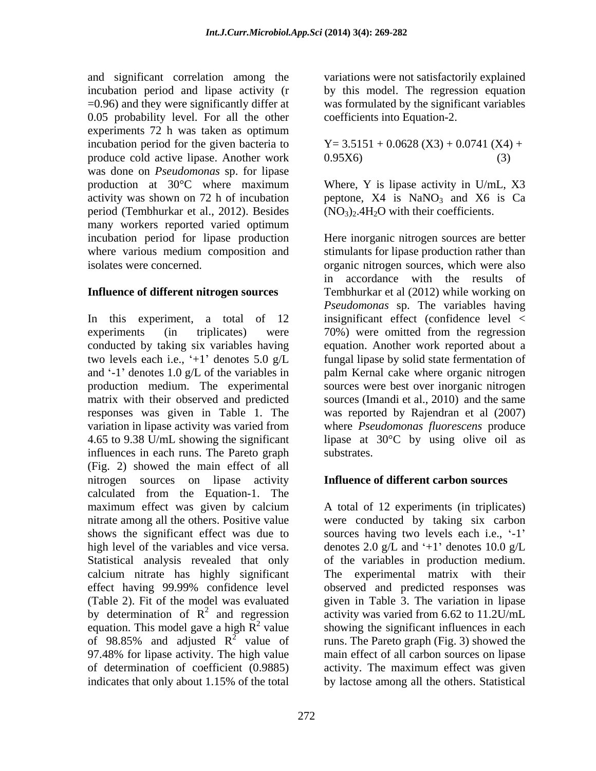and significant correlation among the variations were not satisfactorily explained incubation period and lipase activity (r by this model. The regression equation =0.96) and they were significantly differ at 0.05 probability level. For all the other experiments 72 h was taken as optimum incubation period for the given bacteria to produce cold active lipase. Another work was done on *Pseudomonas* sp. for lipase production at 30°C where maximum activity was shown on 72 h of incubation  $p$  peptone, X4 is NaNO<sub>3</sub> and X6 is Ca period (Tembhurkar et al., 2012). Besides many workers reported varied optimum

In this experiment, a total of 12 two levels each i.e., ' $+1$ ' denotes 5.0 g/L responses was given in Table 1. The influences in each runs. The Pareto graph (Fig. 2) showed the main effect of all nitrogen sources on lipase activity calculated from the Equation-1. The maximum effect was given by calcium A total of 12 experiments (in triplicates) nitrate among all the others. Positive value were conducted by taking six carbon shows the significant effect was due to sources having two levels each i.e.,  $-1$ high level of the variables and vice versa. denotes 2.0 g/L and  $+1$  denotes 10.0 g/L Statistical analysis revealed that only of the variables in production medium. calcium nitrate has highly significant The experimental matrix with their effect having 99.99% confidence level observed and predicted responses was (Table 2). Fit of the model was evaluated given in Table 3. The variation in lipase by determination of  $R^2$  and regression<br>equation. This model gave a high  $R^2$  value equation. This model gave a high  $\overline{R}^2$  value showing the significant influences in each of 98.85% and adjusted  $R^2$  value of runs. The Pareto graph (Fig. 3) showed the 97.48% for lipase activity. The high value of determination of coefficient (0.9885) activity. The maximum effect wasgiven

was formulated by the significant variables coefficients into Equation-2.

$$
Y=3.5151+0.0628(X3)+0.0741(X4)+0.95X6)
$$
\n(3)

Where, Y is lipase activity in U/mL, X3  $(NO<sub>3</sub>)<sub>2</sub>$ .4H<sub>2</sub>O with their coefficients.

incubation period for lipase production Here inorganic nitrogen sources are better where various medium composition and stimulants for lipase production rather than isolates were concerned. organic nitrogen sources, which were also **Influence of different nitrogen sources**  Tembhurkar et al (2012) while working on experiments (in triplicates) were 70%) were omitted from the regression conducted by taking six variables having equation. Another work reported about a and '-1' denotes 1.0 g/L of the variables in palm Kernal cake where organic nitrogen production medium. The experimental sources were best over inorganic nitrogen matrix with their observed and predicted sources (Imandi et al., 2010) and the same variation in lipase activity was varied from where *Pseudomonas fluorescens* produce 4.65 to 9.38 U/mL showing the significant lipase at 30°C by using olive oil as in accordance with the results of *Pseudomonas* sp. The variables having insignificant effect (confidence level < fungal lipase by solid state fermentation of was reported by Rajendran et al (2007) substrates.

## **Influence of different carbon sources**

<sup>2</sup> and regression activity was varied from 6.62 to 11.2U/mL indicates that only about 1.15% of the total by lactose among all the others. Statisticalmain effect of all carbon sources on lipase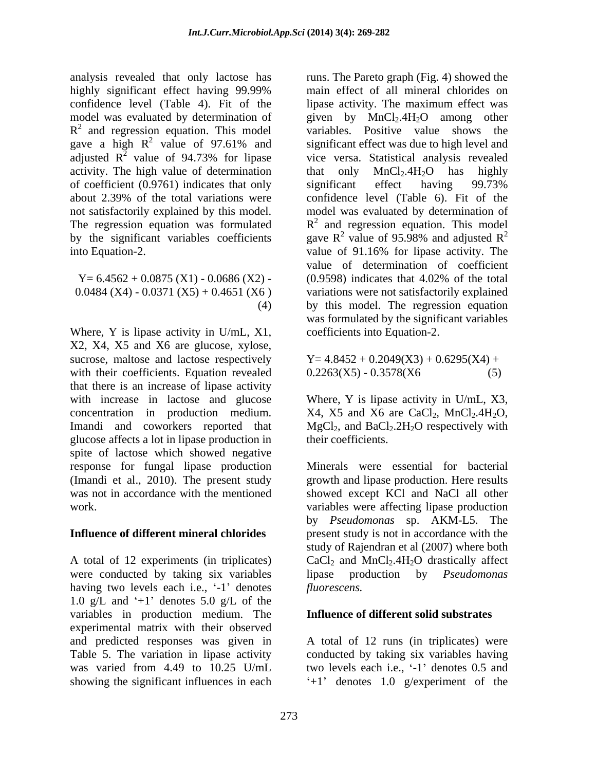analysis revealed that only lactose has runs. The Pareto graph (Fig. 4) showed the highly significant effect having 99.99% confidence level (Table 4). Fit of the lips activity. The maximum effect was model was evaluated by determination of given by MnCl<sub>2</sub>.4H<sub>2</sub>O among other  $R<sup>2</sup>$  and regression equation. This model variables. Positive value shows the gave a high  $R^2$  value of 97.61% and<br>adjusted  $R^2$  value of 94.73% for lipase adjusted  $R^2$  value of 94.73% for lipase vice versa. Statistical analysis revealed activity. The high value of determination that only  $MnCl<sub>2</sub>.4H<sub>2</sub>O$  has highly of coefficient (0.9761) indicates that only significant effect having 99.73% about 2.39% of the total variations were confidence level (Table 6). Fit of the not satisfactorily explained by this model. model was evaluated by determination of The regression equation was formulated  $R^2$  and regression equation. This model by the significant variables coefficients gave  $R^2$  value of 95.98% and adjusted  $R^2$ into Equation-2. value of 91.16% for lipase activity. The

Where, Y is lipase activity in U/mL, X1, X2, X4, X5 and X6 are glucose, xylose, sucrose, maltose and lactose respectively with their coefficients. Equation revealed  $0.2263(X5) - 0.3578(X6)$  (5) that there is an increase of lipase activity with increase in lactose and glucose Where, Y is lipase activity in U/mL, X3, concentration in production medium.  $X4$ ,  $X5$  and  $X6$  are CaCl<sub>2</sub>, MnCl<sub>2</sub>.4H<sub>2</sub>O, Imandi and coworkers reported that  $MgCl_2$ , and  $BaCl_2.2H_2O$  respectively with glucose affects a lot in lipase production in spite of lactose which showed negative response for fungal lipase production Minerals were essential for bacterial (Imandi et al., 2010). The present study growth and lipase production. Here results was not in accordance with the mentioned showed except KCl and NaCl all other work. variables were affecting lipase production

were conducted by taking six variables lips having two levels each i.e., '-1' denotes fluorescens. 1.0 g/L and  $+1$  denotes 5.0 g/L of the variables in production medium. The experimental matrix with their observed and predicted responses was given in Table 5. The variation in lipase activity conducted by taking six variables having was varied from 4.49 to 10.25 U/mL two levels each i.e., '-1' denotes 0.5 and showing the significant influences in each  $+1$  denotes 1.0 g/experiment of the

<sup>2</sup> value of 97.61% and significant effect was due to high level and value of 94.73% for lipase vice versa. Statistical analysis revealed  $Y= 6.4562 + 0.0875 (X1) - 0.0686 (X2)$  - (0.9598) indicates that 4.02% of the total 0.0484 (X4) - 0.0371 (X5) + 0.4651 (X6) variations were not satisfactorily explained<br>(4) by this model. The regression equation main effect of all mineral chlorides on lipase activity. The maximum effect was variables. Positive value shows the that only  $MnCl<sub>2</sub>.4H<sub>2</sub>O$  has highly significant effect having 99.73% value of 95.98% and adjusted  $R^2$ 2 value of determination of coefficient (0.9598) indicates that 4.02% of the total variations were not satisfactorily explained by this model. The regression equation was formulated by the significant variables coefficients into Equation-2.

> $Y= 4.8452 + 0.2049(X3) + 0.6295(X4) +$  $0.2263(X5) - 0.3578(X6)$

**Influence of different mineral chlorides** present study is not in accordance with the A total of 12 experiments (in triplicates)  $CaCl<sub>2</sub>$  and  $MnCl<sub>2</sub>$ .4H<sub>2</sub>O drastically affect their coefficients. Minerals were essential for bacterial by *Pseudomonas* sp. AKM-L5. The study of Rajendran et al (2007) where both production by *Pseudomonas fluorescens.* 

### **Influence of different solid substrates**

A total of 12 runs (in triplicates) were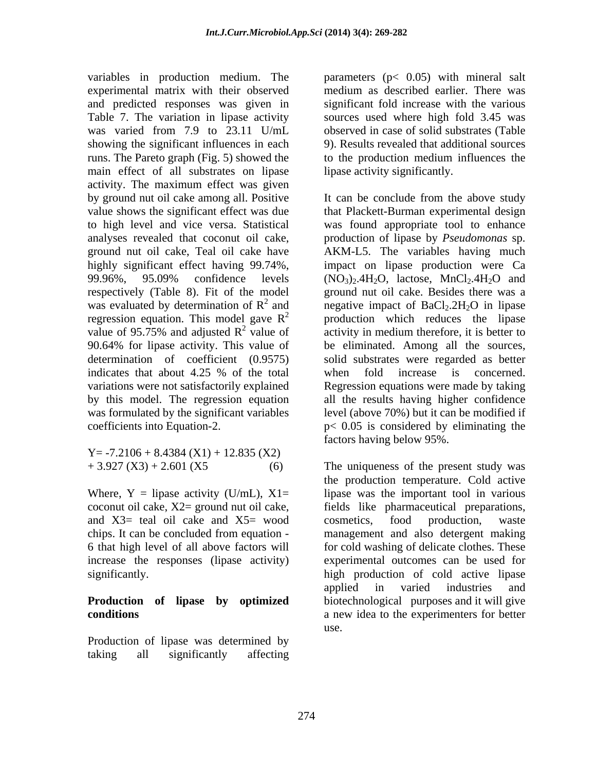variables in production medium. The parameters (p< 0.05) with mineral salt experimental matrix with their observed medium as described earlier. There was and predicted responses was given in Table 7. The variation in lipase activity sources used where high fold 3.45 was was varied from 7.9 to 23.11 U/mL observed in case of solid substrates (Table showing the significant influences in each runs. The Pareto graph (Fig. 5) showed the to the production medium influences the main effect of all substrates on lipase activity. The maximum effect was given by this model. The regression equation

 $Y = -7.2106 + 8.4384 (X1) + 12.835 (X2)$ 

and X3= teal oil cake and X5= wood cosmetics, food production, waste

# **Production of lipase by optimized**

Production of lipase was determined by taking all significantly affecting

significant fold increase with the various observed in case of solid substrates (Table 9). Results revealed that additional sources lipase activity significantly.

by ground nut oil cake among all. Positive It can be conclude from the above study value shows the significant effect was due that Plackett-Burman experimental design to high level and vice versa. Statistical was found appropriate tool to enhance analyses revealed that coconut oil cake, production of lipase by *Pseudomonas* sp. ground nut oil cake, Teal oil cake have AKM-L5. The variables having much highly significant effect having 99.74%, impact on lipase production were Ca 99.96%, 95.09% confidence levels  $(NO<sub>3</sub>)<sub>2</sub>$ .4H<sub>2</sub>O, lactose, MnCl<sub>2</sub>.4H<sub>2</sub>O and respectively (Table 8). Fit of the model ground nut oil cake. Besides there was a was evaluated by determination of  $R^2$  and negative impact of BaCl<sub>2</sub>.2H<sub>2</sub>O in lipase regression equation. This model gave  $R^2$  production which reduces the lipase value of 95.75% and adjusted  $R^2$  value of activity in medium therefore, it is better to 90.64% for lipase activity. This value of be eliminated. Among all the sources, determination of coefficient (0.9575) solid substrates were regarded as better indicates that about 4.25 % of the total variations were not satisfactorily explained Regression equations were made by taking was formulated by the significant variables level (above 70%) but it can be modified if coefficients into Equation-2. p< 0.05 is considered by eliminating the when fold increase is concerned. all the results having higher confidence factors having below 95%.

 $+3.927(X3) + 2.601(X5$  (6) The uniqueness of the present study was Where,  $Y =$  lipase activity (U/mL),  $X1 =$  lipase was the important tool in various coconut oil cake, X2= ground nut oil cake, fields like pharmaceutical preparations, chips. It can be concluded from equation - management and also detergent making 6 that high level of all above factors will for cold washing of delicate clothes. These increase the responses (lipase activity) experimental outcomes can be used for significantly. high production of cold active lipase **conditions** a new idea to the experimenters for better the production temperature. Cold active cosmetics, food production, waste applied in varied industries and biotechnological purposes and it will give use.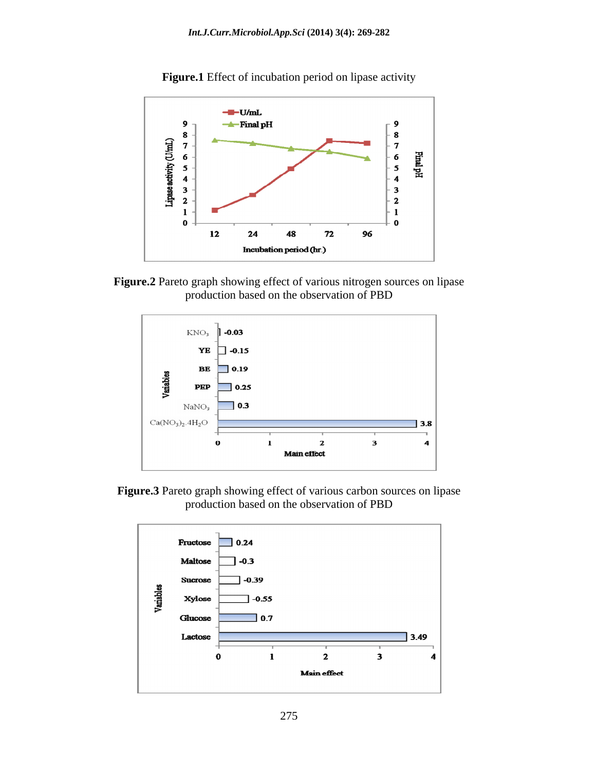

**Figure.1** Effect of incubation period on lipase activity





**Figure.3** Pareto graph showing effect of various carbon sources on lipase production based on the observation of PBD

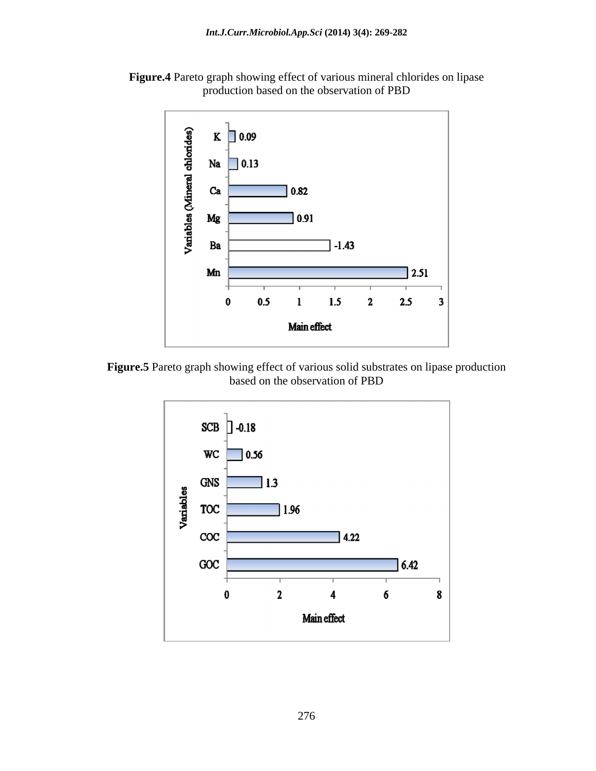



**Figure.5** Pareto graph showing effect of various solid substrates on lipase production based on the observation of PBD

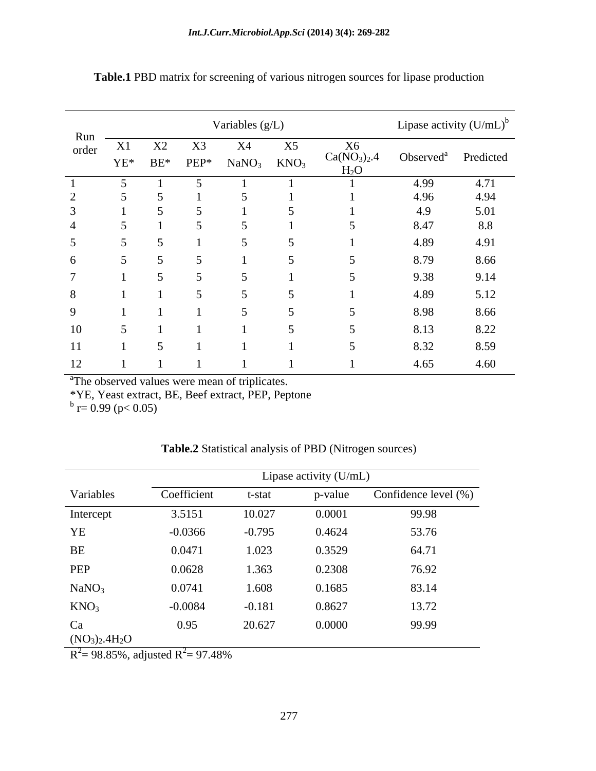|                |    |    |    | Variables (g/L)                                          |    |                                                        | Lipase activity $(U/mL)^b$      |      |
|----------------|----|----|----|----------------------------------------------------------|----|--------------------------------------------------------|---------------------------------|------|
| Run –<br>order | X1 | X2 | X3 | X4<br>$YE^*$ BE* PEP* NaNO <sub>3</sub> KNO <sub>3</sub> | X5 | $X6$<br>Ca(NO <sub>3</sub> ) <sub>2</sub> .4<br>$H_2O$ | Observed <sup>a</sup> Predicted |      |
|                |    |    |    |                                                          |    |                                                        | 4.99                            | 4.71 |
|                |    |    |    |                                                          |    |                                                        | 4.96                            | 4.94 |
|                |    |    |    |                                                          |    |                                                        | 4.9                             | 5.01 |
|                |    |    |    |                                                          |    |                                                        | 8.47                            | 8.8  |
|                |    |    |    |                                                          |    |                                                        | 4.89                            | 4.91 |
| $\sqrt{2}$     |    |    |    |                                                          |    |                                                        | 8.79                            | 8.66 |
|                |    |    |    |                                                          |    |                                                        | 9.38                            | 9.14 |
| -8             |    |    |    |                                                          |    |                                                        | 4.89                            | 5.12 |
| $\Omega$       |    |    |    |                                                          |    |                                                        | 8.98                            | 8.66 |
| 10             |    |    |    |                                                          |    |                                                        | 8.13                            | 8.22 |
| 11             |    |    |    |                                                          |    |                                                        | 8.32                            | 8.59 |
|                |    |    |    |                                                          |    |                                                        |                                 |      |
| 12             |    |    |    |                                                          |    |                                                        | 4.65                            | 4.60 |

**Table.1** PBD matrix for screening of various nitrogen sources for lipase production

<sup>a</sup>The observed values were mean of triplicates.

\*YE, Yeast extract, BE, Beef extract, PEP, Peptone<br>  $\rm{b}^{\rm b}$  r= 0.99 (p< 0.05)

| Table.2<br>`PBD<br><b>C</b> Statistical analysis of F<br>Nitrogen sources) |
|----------------------------------------------------------------------------|
|----------------------------------------------------------------------------|

|                     | Lipase activity (U/mL) |          |         |                      |  |  |  |  |
|---------------------|------------------------|----------|---------|----------------------|--|--|--|--|
| Variables           | Coefficient            | t-stat   | p-value | Confidence level (%) |  |  |  |  |
| Intercept           | 3.5151                 | 10.027   | 0.0001  | 99.98                |  |  |  |  |
| ${\it YE}$          | $-0.0366$              | $-0.795$ | 0.4624  | 53.76                |  |  |  |  |
| $\rm BE$            | 0.0471                 | 1.023    | 0.3529  | 64.71                |  |  |  |  |
| PEP                 | 0.0628                 | 1.363    | 0.2308  | 76.92                |  |  |  |  |
| NaNO <sub>3</sub>   | 0.0741                 | 1.608    | 0.1685  | 83.14                |  |  |  |  |
| KNO <sub>3</sub>    | $-0.0084$              | $-0.181$ | 0.8627  | 13.72                |  |  |  |  |
| Ca<br>$(NO3)2.4H2O$ | 0.95                   | 20.627   | 0.0000  | 99.99                |  |  |  |  |

 $R^2$  = 98.85%, adjusted  $R^2$  = 97.48%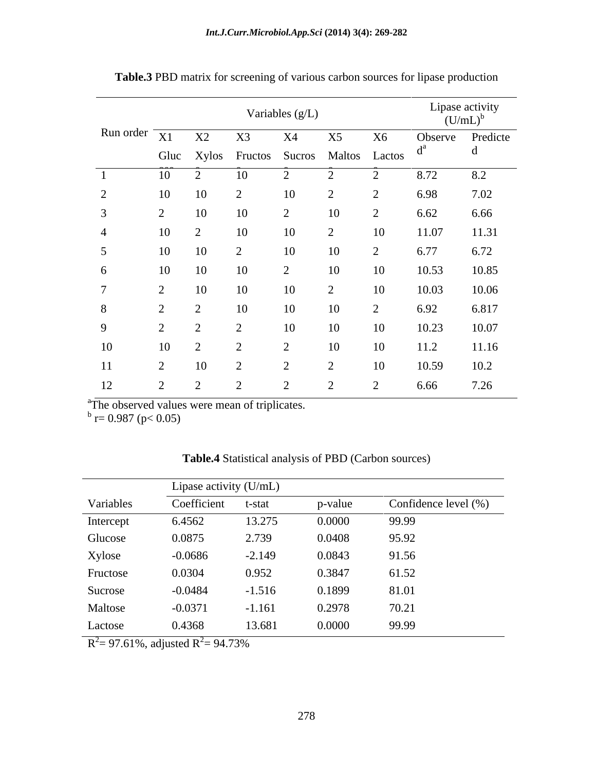|                           |           |    |                                               | Variables (g/L) |           |                    | $(U/mL)^b$                       | Lipase activity |
|---------------------------|-----------|----|-----------------------------------------------|-----------------|-----------|--------------------|----------------------------------|-----------------|
| Run order $\overline{X1}$ |           | X2 | X3<br>Gluc Xylos Fructos Sucros Maltos Lactos | <b>X4</b>       | X5        | <b>X6</b>          | Observe Predicte<br>$\mathbf{u}$ | d               |
|                           | 10        |    |                                               |                 |           |                    | 8.72                             | 8.2             |
| 2                         | 10        | 10 | $\sim$                                        | 10              | $\sim$    | $\sim$             | 6.98                             | 7.02            |
| $\mathfrak{Z}$            | $\sim$    | 10 | 10                                            | $\overline{2}$  | 10        | $\bigcap$<br>∠     | 6.62                             | 6.66            |
| $\overline{4}$            | 10        | ∠  | 10                                            | 10              | $\bigcap$ | 10                 | 11.07                            | 11.31           |
| $5\overline{)}$           | 10        | 10 | 2                                             | 10              | 10        | $\mathcal{D}$<br>↵ | 6.77                             | 6.72            |
| 6                         | 10        | 10 | 10                                            | $\bigcap$       | 10        | 10                 | 10.53                            | 10.85           |
| $\mathbf{z}$              | $\bigcap$ | 10 | 10                                            | 10              | $\bigcap$ | 10                 | 10.03                            | 10.06           |
| 8                         |           |    | 10                                            | 10              | 10        | $\bigcap$<br>∠     | 6.92                             | 6.817           |
| 9                         |           |    | $\sim$                                        | 10              | 10        | 10                 | 10.23                            | 10.07           |
| 10                        | 10        |    | $\bigcap$                                     | $\gamma$        | 10        | 10                 | 11.2                             | 11.16           |
| 11                        | $\sim$    | 10 | $\sim$                                        | $\bigcap$       | $\sim$    | 10                 | 10.59                            | 10.2            |
| 12                        |           |    |                                               |                 |           | $\bigcap$          | 6.66                             | 7.26            |

**Table.3** PBD matrix for screening of various carbon sources for lipase production

<sup>a</sup>The observed values were mean of triplicates.<br>  $\frac{b}{b}$  r= 0.987 (p< 0.05)

|           | Lipase activity (U/mL) |          |         |                      |  |  |  |  |  |
|-----------|------------------------|----------|---------|----------------------|--|--|--|--|--|
| Variables | Coefficient            | t-stat   | p-value | Confidence level (%) |  |  |  |  |  |
| Intercept | 6.4562                 | 13.275   | 0.0000  | 99.99                |  |  |  |  |  |
| Glucose   | 0.0875                 | 2.739    | 0.0408  | 95.92                |  |  |  |  |  |
| Xylose    | $-0.0686$              | $-2.149$ | 0.0843  | 91.56                |  |  |  |  |  |
| Fructose  | 0.0304                 | 0.952    | 0.3847  | 61.52                |  |  |  |  |  |
| Sucrose   | $-0.0484$              | $-1.516$ | 0.1899  | 81.01                |  |  |  |  |  |
| Maltose   | $-0.0371$              | $-1.161$ | 0.2978  | 70.21                |  |  |  |  |  |
| Lactose   | 0.4368                 | 13.681   | 0.0000  | 99.99                |  |  |  |  |  |

**Table.4** Statistical analysis of PBD (Carbon sources)

 $R^2 = 97.61\%$ , adjusted  $R^2 = 94.73\%$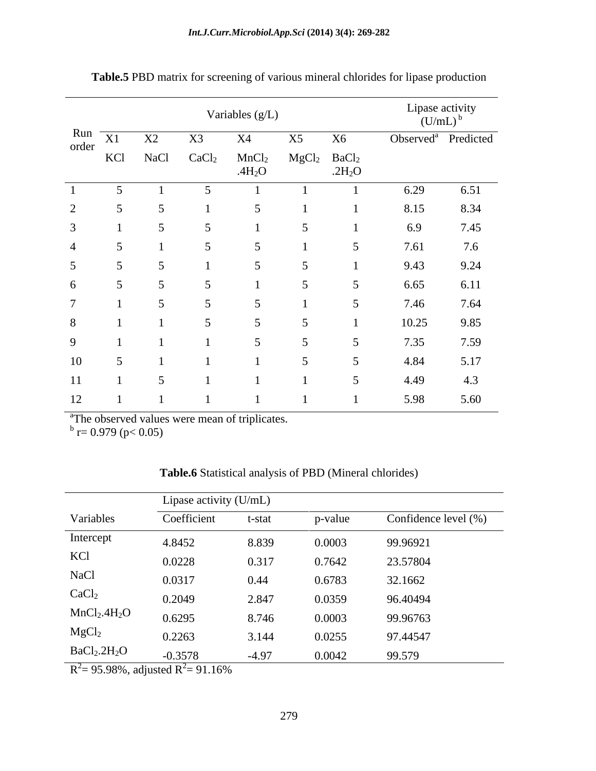|    |                              |             |                   | Variables (g/L)                         |                           |           |       | Lipase activity<br>$(U/mL)^b$   |
|----|------------------------------|-------------|-------------------|-----------------------------------------|---------------------------|-----------|-------|---------------------------------|
|    | Run $\overline{X1}$<br>order | X2          | X3                | X4                                      | X5                        | <b>X6</b> |       | Observed <sup>a</sup> Predicted |
|    | KCl                          | <b>NaCl</b> | CaCl <sub>2</sub> | MnCl <sub>2</sub><br>.4H <sub>2</sub> O | $MgCl2$ BaCl <sub>2</sub> | .2 $H_2O$ |       |                                 |
|    |                              |             |                   |                                         |                           |           | 6.29  | 6.51                            |
|    |                              |             |                   |                                         |                           |           | 8.15  | 8.34                            |
|    |                              |             |                   |                                         |                           |           | 6.9   | 7.45                            |
|    |                              |             |                   |                                         |                           |           | 7.61  | 7.6                             |
|    |                              |             |                   |                                         |                           |           | 9.43  | 9.24                            |
|    |                              |             |                   |                                         |                           |           | 6.65  | 6.11                            |
|    |                              |             |                   |                                         |                           |           | 7.46  | 7.64                            |
| 8  |                              |             |                   |                                         |                           |           | 10.25 | 9.85                            |
|    |                              |             |                   |                                         |                           |           | 7.35  | 7.59                            |
| 10 |                              |             |                   |                                         |                           |           | 4.84  | 5.17                            |
| 11 |                              |             |                   |                                         |                           |           | 4.49  | 4.3                             |
| 12 |                              |             |                   |                                         |                           |           | 5.98  | 5.60                            |

**Table.5** PBD matrix for screening of various mineral chlorides for lipase production

<sup>a</sup>The observed values were mean of triplicates.<br>  $\frac{b}{b}$  r= 0.979 (p< 0.05)

| Table.6<br>i PBD<br><b>Statistical analysis of</b> | (Mineral)<br>chlorides |  |
|----------------------------------------------------|------------------------|--|
|                                                    |                        |  |

|                                      | Lipase activity (U/mL) |         |         |                      |  |  |  |  |  |
|--------------------------------------|------------------------|---------|---------|----------------------|--|--|--|--|--|
| Variables                            | Coefficient            | t-stat  | p-value | Confidence level (%) |  |  |  |  |  |
| Intercept                            | 4.8452                 | 8.839   | 0.0003  | 99.96921             |  |  |  |  |  |
| KCl                                  | 0.0228                 | 0.317   | 0.7642  | 23.57804             |  |  |  |  |  |
| <b>NaCl</b>                          | 0.0317                 | 0.44    | 0.6783  | 32.1662              |  |  |  |  |  |
| CaCl <sub>2</sub>                    | 0.2049                 | 2.847   | 0.0359  | 96.40494             |  |  |  |  |  |
| MnCl <sub>2</sub> .4H <sub>2</sub> O | 0.6295                 | 8.746   | 0.0003  | 99.96763             |  |  |  |  |  |
| MgCl <sub>2</sub>                    | 0.2263                 | 3.144   | 0.0255  | 97.44547             |  |  |  |  |  |
| BaCl <sub>2</sub> .2H <sub>2</sub> O | $-0.3578$              | $-4.97$ | 0.0042  | 99.579               |  |  |  |  |  |

 $R^2$  = 95.98%, adjusted  $R^2$  = 91.16%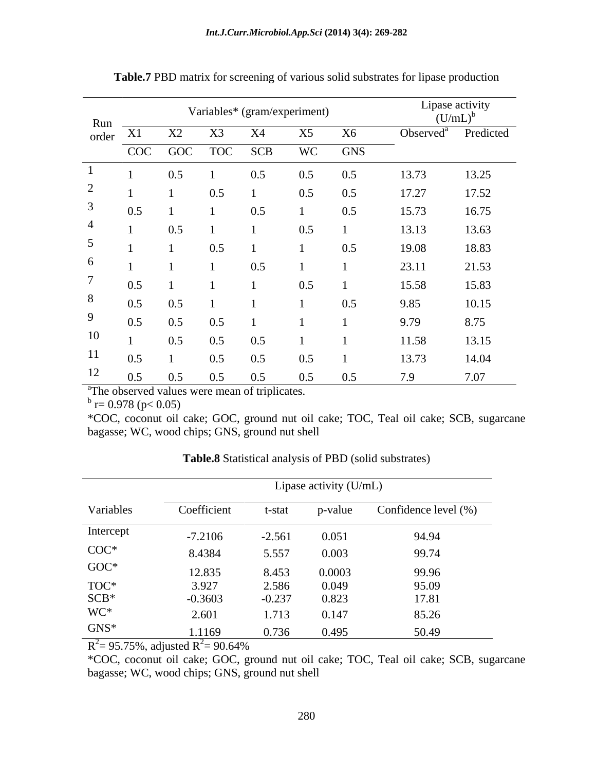| Run                         |            |     | Variables* (gram/experiment) | Lipase activity<br>$(U/mL)^b$ |     |            |                       |           |
|-----------------------------|------------|-----|------------------------------|-------------------------------|-----|------------|-----------------------|-----------|
| order X1                    |            | X2  |                              | <b>X4</b>                     |     | X6         | Observed <sup>a</sup> | Predicted |
|                             | <b>COC</b> |     | GOC TOC                      | <b>SCB</b>                    | WC  | <b>GNS</b> |                       |           |
|                             |            | 0.5 |                              | 0.5                           | 0.5 | 0.5        | 13.73                 | 13.25     |
| $\bigcap$<br>$\overline{a}$ |            |     | 0.5                          |                               | 0.5 | 0.5        | 17.27                 | 17.52     |
| 3                           | 0.5        |     |                              | 0.5                           |     | 0.5        | 15.73                 | 16.75     |
| 4                           |            | 0.5 |                              |                               | 0.5 |            | 13.13                 | 13.63     |
| $\overline{5}$              |            |     | 0.5                          |                               |     | 0.5        | 19.08                 | 18.83     |
| 6                           |            |     |                              | 0.5                           |     |            | 23.11                 | 21.53     |
| $\overline{ }$              | 0.5        |     |                              |                               | 0.5 |            | 15.58                 | 15.83     |
| 8                           | 0.5        | 0.5 |                              |                               |     | 0.5        | 9.85                  | 10.15     |
| 9                           | 0.5        | 0.5 | 0.5                          |                               |     |            | 9.79                  | 8.75      |
| 10                          |            | 0.5 | 0.5                          | 0.5                           |     |            | 11.58                 | 13.15     |
| 11                          | 0.5        |     | 0.5                          | 0.5                           | 0.5 |            | 13.73                 | 14.04     |
| 12                          | 0.5        | 0.5 | 0.5                          | 0.5                           | 0.5 | 0.5        | 7.9                   | 7.07      |

**Table.7** PBD matrix for screening of various solid substrates for lipase production

<sup>a</sup>The observed values were mean of triplicates.

 $b_{r-0.078}$  (p < 0.05)  $\frac{b}{r} = 0.978$  (p< 0.05)

\*COC, coconut oil cake; GOC, ground nut oil cake; TOC, Teal oil cake; SCB, sugarcane bagasse; WC, wood chips; GNS, ground nut shell

|                                       | Lipase activity (U/mL) |          |         |                      |  |  |  |  |
|---------------------------------------|------------------------|----------|---------|----------------------|--|--|--|--|
| Variables                             | Coefficient            | t-stat   | p-value | Confidence level (%) |  |  |  |  |
| Intercept                             | $-7.2106$              | $-2.561$ | 0.051   | 94.94                |  |  |  |  |
| $\mathrm{COC}^*$                      | 8.4384                 | 5.557    | 0.003   | 99.74                |  |  |  |  |
| $GOC*$                                | 12.835                 | 8.453    | 0.0003  | 99.96                |  |  |  |  |
|                                       | 3.927                  | 2.586    | 0.049   | 95.09                |  |  |  |  |
| $\rm{TOC^*}\hspace{-0.5ex}\rm{SCB^*}$ | $-0.3603$              | $-0.237$ | 0.823   | 17.81                |  |  |  |  |
| WC*                                   | 2.601                  | 1.713    | 0.147   | 85.26                |  |  |  |  |
| $GNS^*$                               | 1.1169                 | 0.736    | 0.495   | 50.49                |  |  |  |  |

**Table.8** Statistical analysis of PBD (solid substrates)

 $R^2$  = 95.75%, adjusted  $R^2$  = 90.64%  $2 = 95.75\%$ , adjusted R<sup>2</sup> $= 90.64\%$ 

\*COC, coconut oil cake; GOC, ground nut oil cake; TOC, Teal oil cake; SCB, sugarcane bagasse; WC, wood chips; GNS, ground nut shell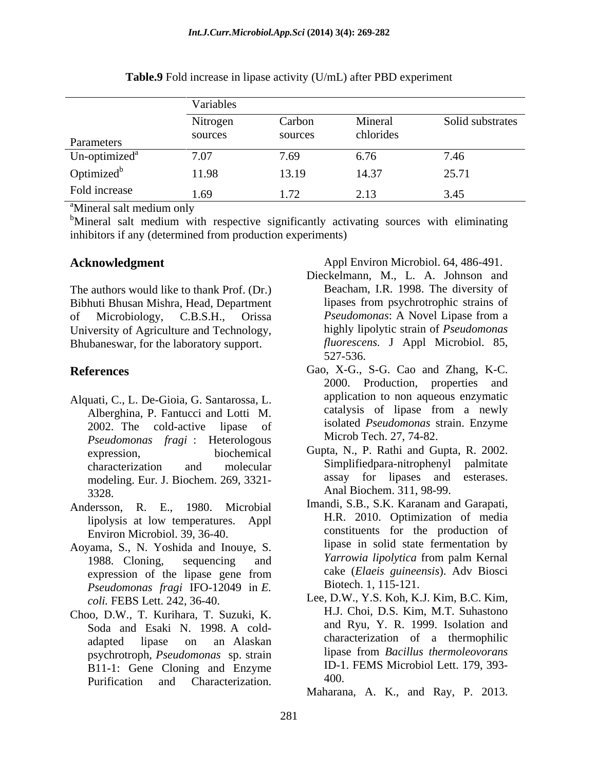|                                       | Variables           |                         |                      |                  |  |  |  |  |  |
|---------------------------------------|---------------------|-------------------------|----------------------|------------------|--|--|--|--|--|
| Parameters                            | Nitrogen<br>sources | Carbon<br>sources       | Mineral<br>chlorides | Solid substrates |  |  |  |  |  |
| Un-optimized <sup>a</sup>             | 7.07                | 7.69                    | 6.76                 | 7.46             |  |  |  |  |  |
| Optimized <sup>b</sup>                | 11.98               | 13.19                   | 14.37                | 25.71            |  |  |  |  |  |
| Fold increase                         | 1.69                | 72<br>$\perp$ . $\perp$ | 2.13                 | 3.45             |  |  |  |  |  |
| <sup>a</sup> Mineral salt medium only |                     |                         |                      |                  |  |  |  |  |  |

**Table.9** Fold increase in lipase activity (U/mL) after PBD experiment

<sup>b</sup>Mineral salt medium with respective significantly activating sources with eliminating inhibitors if any (determined from production experiments)

The authors would like to thank Prof. (Dr.) Bibhuti Bhusan Mishra, Head, Department of Microbiology, C.B.S.H., Orissa *Pseudomonas*: A Novel Lipase from a University of Agriculture and Technology, Bhubaneswar, for the laboratory support.

- Alquati, C., L. De-Gioia, G. Santarossa, L. application to non aqueous enzymatic<br>Alberghina P. Fantucci and Lotti M. catalysis of lipase from a newly Alberghina, P. Fantucci and Lotti M. 2002. The cold-active lipase of *Pseudomonas fragi* : Heterologous modeling. Eur. J. Biochem. 269, 3321- 3328. Anal Biochem. 311, 98-99. **Conveledgment**<br> **Deckelmann**, M., L. A. 564-941.<br> **Deckelmann, M., L. A. Johnson and<br>
buti Bhusan Mishna, Head, Department** lipases from psychrotrophic strains of<br>
Microbiology, C. B.S. H. Orissue Promotocology, and Peyta
- Andersson, R. E., 1980. Microbial lipolysis at low temperatures. Appl Environ Microbiol. 39, 36-40.
- Aoyama, S., N. Yoshida and Inouye, S.<br>1988 Cloning sequencing and *Yarrowia lipolytica* from palm Kernal *Pseudomonas fragi* IFO-12049 in *E.*
- Choo, D.W., T. Kurihara, T. Suzuki, K. psychrotroph, *Pseudomonas* sp. strain  $B11-1$ : Gene Cloning and Enzyme  $ID-1$ <br>Purification and Characterization  $400$ .

**Acknowledgment** Appl Environ Microbiol. 64, 486-491.

- Dieckelmann, M., L. A. Johnson and Beacham, I.R. 1998. The diversity of lipases from psychrotrophic strains of *Pseudomonas*: A Novel Lipase from a highly lipolytic strain of *Pseudomonas fluorescens.* J Appl Microbiol. 85, 527-536.
- **References** Gao, X-G., S-G. Cao and Zhang, K-C. 2000. Production, properties and application to non aqueous enzymatic catalysis of lipase from a newly isolated *Pseudomonas* strain. Enzyme Microb Tech. 27, 74-82.
	- expression, biochemical Gupta, N., P. Rathi and Gupta, R. 2002. characterization and molecular Simplifiedpara-nitrophenyl palmitate assay for lipases and esterases.
	- 1988. Cloning, sequencing and *Yarrowia lipolytica* from palm Kernal expression of the lipase gene from cake (*Elaels guineensis*). Adv Biosci Imandi, S.B., S.K. Karanam and Garapati, H.R. 2010. Optimization of media constituents for the production of lipase in solid state fermentation by *Yarrowia lipolytica* from palm Kernal cake (*Elaeis guineensis*). Adv Biosci Biotech. 1, 115-121.
	- *coli.* FEBS Lett. 242, 36-40. Lee, D.W., Y.S. Koh, K.J. Kim, B.C. Kim, Soda and Esaki N. 1998. A cold-<br>and Ryu, Y. R. 1999. Isolation and adapted lipase on an Alaskan H.J. Choi, D.S. Kim, M.T. Suhastono and Ryu, Y. R. 1999. Isolation and characterization of a thermophilic lipase from *Bacillus thermoleovorans* ID-1. FEMS Microbiol Lett. 179, 393- 400.

Maharana, A. K., and Ray, P. 2013.